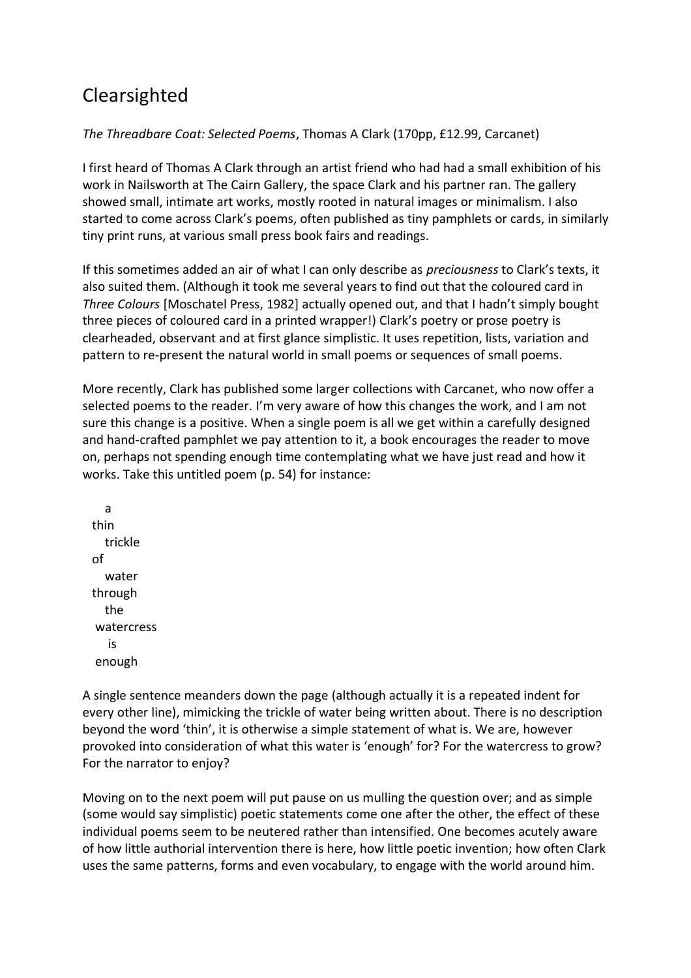## Clearsighted

## *The Threadbare Coat: Selected Poems*, Thomas A Clark (170pp, £12.99, Carcanet)

I first heard of Thomas A Clark through an artist friend who had had a small exhibition of his work in Nailsworth at The Cairn Gallery, the space Clark and his partner ran. The gallery showed small, intimate art works, mostly rooted in natural images or minimalism. I also started to come across Clark's poems, often published as tiny pamphlets or cards, in similarly tiny print runs, at various small press book fairs and readings.

If this sometimes added an air of what I can only describe as *preciousness* to Clark's texts, it also suited them. (Although it took me several years to find out that the coloured card in *Three Colours* [Moschatel Press, 1982] actually opened out, and that I hadn't simply bought three pieces of coloured card in a printed wrapper!) Clark's poetry or prose poetry is clearheaded, observant and at first glance simplistic. It uses repetition, lists, variation and pattern to re-present the natural world in small poems or sequences of small poems.

More recently, Clark has published some larger collections with Carcanet, who now offer a selected poems to the reader. I'm very aware of how this changes the work, and I am not sure this change is a positive. When a single poem is all we get within a carefully designed and hand-crafted pamphlet we pay attention to it, a book encourages the reader to move on, perhaps not spending enough time contemplating what we have just read and how it works. Take this untitled poem (p. 54) for instance:

 a thin trickle of water through the watercress is enough

A single sentence meanders down the page (although actually it is a repeated indent for every other line), mimicking the trickle of water being written about. There is no description beyond the word 'thin', it is otherwise a simple statement of what is. We are, however provoked into consideration of what this water is 'enough' for? For the watercress to grow? For the narrator to enjoy?

Moving on to the next poem will put pause on us mulling the question over; and as simple (some would say simplistic) poetic statements come one after the other, the effect of these individual poems seem to be neutered rather than intensified. One becomes acutely aware of how little authorial intervention there is here, how little poetic invention; how often Clark uses the same patterns, forms and even vocabulary, to engage with the world around him.